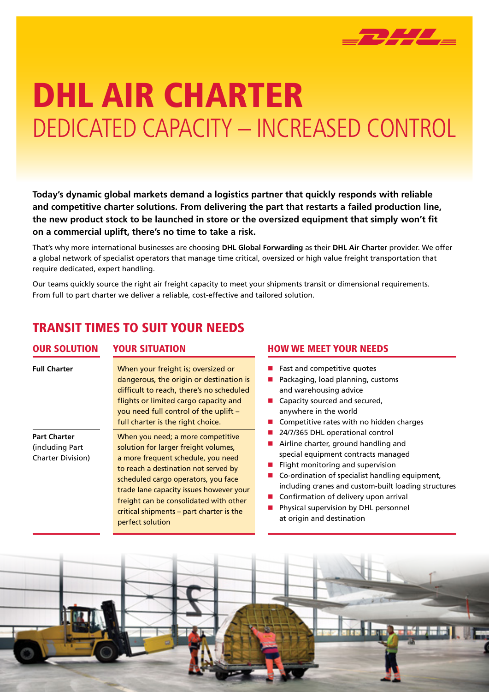

# DHL AIR CHARTER DEDICATED CAPACITY – INCREASED CONTROL

**Today's dynamic global markets demand a logistics partner that quickly responds with reliable and competitive charter solutions. From delivering the part that restarts a failed production line, the new product stock to be launched in store or the oversized equipment that simply won't fit on a commercial uplift, there's no time to take a risk.**

That's why more international businesses are choosing **DHL Global Forwarding** as their **DHL Air Charter** provider. We offer a global network of specialist operators that manage time critical, oversized or high value freight transportation that require dedicated, expert handling.

Our teams quickly source the right air freight capacity to meet your shipments transit or dimensional requirements. From full to part charter we deliver a reliable, cost-effective and tailored solution.

### TRANSIT TIMES TO SUIT YOUR NEEDS

| <b>OUR SOLUTION</b>                                                 | YOUR SITUATION                                                                                                                                                                                                                                                                                                                                      |  |
|---------------------------------------------------------------------|-----------------------------------------------------------------------------------------------------------------------------------------------------------------------------------------------------------------------------------------------------------------------------------------------------------------------------------------------------|--|
| <b>Full Charter</b>                                                 | When your freight is; oversized or<br>dangerous, the origin or destination is<br>difficult to reach, there's no scheduled<br>flights or limited cargo capacity and<br>you need full control of the uplift -<br>full charter is the right choice.                                                                                                    |  |
| <b>Part Charter</b><br>(including Part)<br><b>Charter Division)</b> | When you need; a more competitive<br>solution for larger freight volumes,<br>a more frequent schedule, you need<br>to reach a destination not served by<br>scheduled cargo operators, you face<br>trade lane capacity issues however your<br>freight can be consolidated with other<br>critical shipments – part charter is the<br>perfect solution |  |

#### **HOW WE MEET YOUR NEEDS**

- $\blacksquare$  Fast and competitive quotes
- $\blacksquare$  Packaging, load planning, customs and warehousing advice
- $\blacksquare$  Capacity sourced and secured, anywhere in the world
- $\blacksquare$  Competitive rates with no hidden charges
- 24/7/365 DHL operational control
- $\blacksquare$  Airline charter, ground handling and special equipment contracts managed
- $\blacksquare$  Flight monitoring and supervision
- $\blacksquare$  Co-ordination of specialist handling equipment, including cranes and custom-built loading structures
- $\blacksquare$  Confirmation of delivery upon arrival
- **n** Physical supervision by DHL personnel at origin and destination